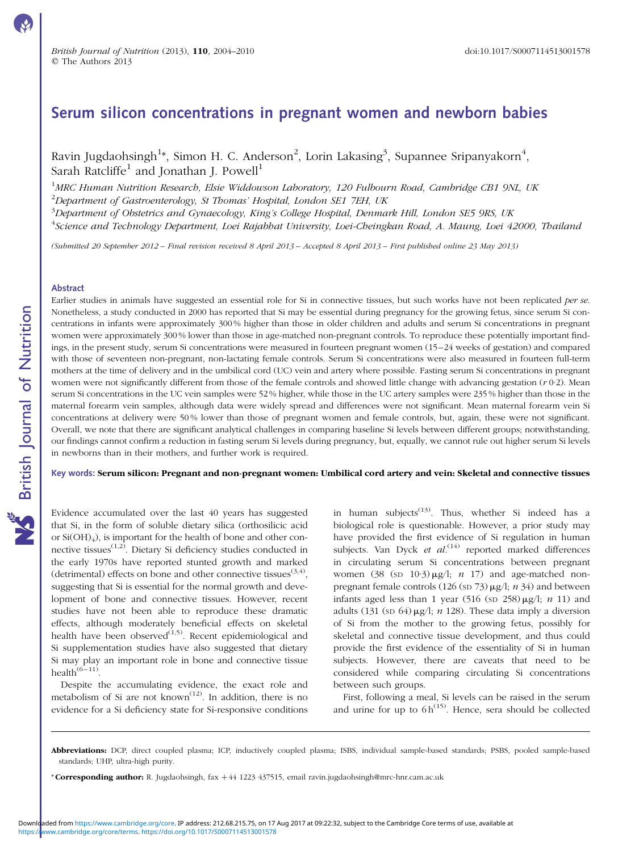# Serum silicon concentrations in pregnant women and newborn babies

Ravin Jugdaohsingh $^{1*}$ , Simon H. C. Anderson $^{2}$ , Lorin Lakasing $^{3}$ , Supannee Sripanyakorn $^{4},$ Sarah Ratcliffe<sup>1</sup> and Jonathan J. Powell<sup>1</sup>

<sup>1</sup>MRC Human Nutrition Research, Elsie Widdowson Laboratory, 120 Fulbourn Road, Cambridge CB1 9NL, UK  $^{2}$ Department of Gastroenterology, St Thomas' Hospital, London SE1 7EH, UK

 $^3$ Department of Obstetrics and Gynaecology, King's College Hospital, Denmark Hill, London SE5 9RS, UK <sup>4</sup>Science and Technology Department, Loei Rajabhat University, Loei-Cheingkan Road, A. Maung, Loei 42000, Thailand

(Submitted 20 September 2012 – Final revision received 8 April 2013 – Accepted 8 April 2013 – First published online 23 May 2013)

#### Abstract

Earlier studies in animals have suggested an essential role for Si in connective tissues, but such works have not been replicated per se. Nonetheless, a study conducted in 2000 has reported that Si may be essential during pregnancy for the growing fetus, since serum Si concentrations in infants were approximately 300 % higher than those in older children and adults and serum Si concentrations in pregnant women were approximately 300 % lower than those in age-matched non-pregnant controls. To reproduce these potentially important findings, in the present study, serum Si concentrations were measured in fourteen pregnant women (15–24 weeks of gestation) and compared with those of seventeen non-pregnant, non-lactating female controls. Serum Si concentrations were also measured in fourteen full-term mothers at the time of delivery and in the umbilical cord (UC) vein and artery where possible. Fasting serum Si concentrations in pregnant women were not significantly different from those of the female controls and showed little change with advancing gestation  $(r 0.2)$ . Mean serum Si concentrations in the UC vein samples were 52 % higher, while those in the UC artery samples were 235 % higher than those in the maternal forearm vein samples, although data were widely spread and differences were not significant. Mean maternal forearm vein Si concentrations at delivery were 50 % lower than those of pregnant women and female controls, but, again, these were not significant. Overall, we note that there are significant analytical challenges in comparing baseline Si levels between different groups; notwithstanding, our findings cannot confirm a reduction in fasting serum Si levels during pregnancy, but, equally, we cannot rule out higher serum Si levels in newborns than in their mothers, and further work is required.

Key words: Serum silicon: Pregnant and non-pregnant women: Umbilical cord artery and vein: Skeletal and connective tissues

Evidence accumulated over the last 40 years has suggested that Si, in the form of soluble dietary silica (orthosilicic acid or Si(OH)4), is important for the health of bone and other connective tissues $(1,2)$ . Dietary Si deficiency studies conducted in the early 1970s have reported stunted growth and marked (detrimental) effects on bone and other connective tissues<sup>(3,4)</sup>, suggesting that Si is essential for the normal growth and development of bone and connective tissues. However, recent studies have not been able to reproduce these dramatic effects, although moderately beneficial effects on skeletal health have been observed $^{(1,5)}$ . Recent epidemiological and Si supplementation studies have also suggested that dietary Si may play an important role in bone and connective tissue health $(6-11)$ 

Despite the accumulating evidence, the exact role and metabolism of Si are not known<sup> $(12)$ </sup>. In addition, there is no evidence for a Si deficiency state for Si-responsive conditions

in human subjects<sup> $(13)$ </sup>. Thus, whether Si indeed has a biological role is questionable. However, a prior study may have provided the first evidence of Si regulation in human subjects. Van Dyck et  $al^{(14)}$  reported marked differences in circulating serum Si concentrations between pregnant women (38 (sp  $10.3$ )  $\mu$ g/l; *n* 17) and age-matched nonpregnant female controls (126 (sp  $73$ )  $\mu$ g/l; *n* 34) and between infants aged less than 1 year (516 (sp  $258 \mu g/l$ ; *n* 11) and adults (131 (SD 64)  $\mu$ g/l; n 128). These data imply a diversion of Si from the mother to the growing fetus, possibly for skeletal and connective tissue development, and thus could provide the first evidence of the essentiality of Si in human subjects. However, there are caveats that need to be considered while comparing circulating Si concentrations between such groups.

First, following a meal, Si levels can be raised in the serum and urine for up to  $6 h^{(15)}$ . Hence, sera should be collected

Abbreviations: DCP, direct coupled plasma; ICP, inductively coupled plasma; ISBS, individual sample-based standards; PSBS, pooled sample-based standards; UHP, ultra-high purity.

<sup>\*</sup> Corresponding author: R. Jugdaohsingh, fax +44 1223 437515, email ravin.jugdaohsingh@mrc-hnr.cam.ac.uk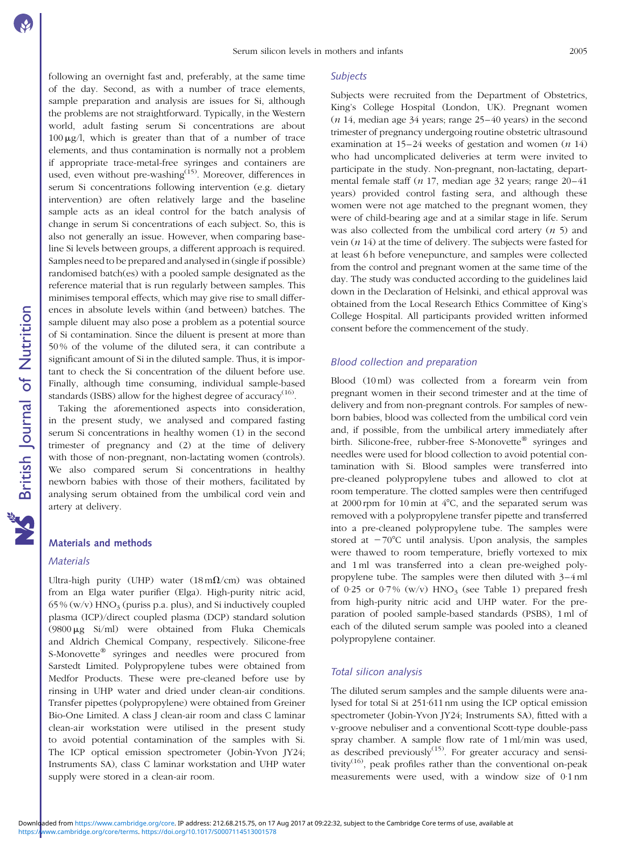following an overnight fast and, preferably, at the same time of the day. Second, as with a number of trace elements, sample preparation and analysis are issues for Si, although the problems are not straightforward. Typically, in the Western world, adult fasting serum Si concentrations are about  $100 \mu g/l$ , which is greater than that of a number of trace elements, and thus contamination is normally not a problem if appropriate trace-metal-free syringes and containers are used, even without pre-washing<sup>(15)</sup>. Moreover, differences in serum Si concentrations following intervention (e.g. dietary intervention) are often relatively large and the baseline sample acts as an ideal control for the batch analysis of change in serum Si concentrations of each subject. So, this is also not generally an issue. However, when comparing baseline Si levels between groups, a different approach is required. Samples need to be prepared and analysed in (single if possible) randomised batch(es) with a pooled sample designated as the reference material that is run regularly between samples. This minimises temporal effects, which may give rise to small differences in absolute levels within (and between) batches. The sample diluent may also pose a problem as a potential source of Si contamination. Since the diluent is present at more than 50 % of the volume of the diluted sera, it can contribute a significant amount of Si in the diluted sample. Thus, it is important to check the Si concentration of the diluent before use. Finally, although time consuming, individual sample-based standards (ISBS) allow for the highest degree of accuracy<sup>(16)</sup>.

Taking the aforementioned aspects into consideration, in the present study, we analysed and compared fasting serum Si concentrations in healthy women (1) in the second trimester of pregnancy and (2) at the time of delivery with those of non-pregnant, non-lactating women (controls). We also compared serum Si concentrations in healthy newborn babies with those of their mothers, facilitated by analysing serum obtained from the umbilical cord vein and artery at delivery.

## Materials and methods

#### **Materials**

Ultra-high purity (UHP) water  $(18 \text{ m}\Omega/\text{cm})$  was obtained from an Elga water purifier (Elga). High-purity nitric acid,  $65\%$  (w/v) HNO<sub>3</sub> (puriss p.a. plus), and Si inductively coupled plasma (ICP)/direct coupled plasma (DCP) standard solution  $(9800 \mu g \text{Si/ml})$  were obtained from Fluka Chemicals and Aldrich Chemical Company, respectively. Silicone-free S-Monovette<sup>®</sup> syringes and needles were procured from Sarstedt Limited. Polypropylene tubes were obtained from Medfor Products. These were pre-cleaned before use by rinsing in UHP water and dried under clean-air conditions. Transfer pipettes (polypropylene) were obtained from Greiner Bio-One Limited. A class J clean-air room and class C laminar clean-air workstation were utilised in the present study to avoid potential contamination of the samples with Si. The ICP optical emission spectrometer (Jobin-Yvon JY24; Instruments SA), class C laminar workstation and UHP water supply were stored in a clean-air room.

#### **Subjects**

Subjects were recruited from the Department of Obstetrics, King's College Hospital (London, UK). Pregnant women  $(n 14, \text{median age } 34 \text{ years}; \text{range } 25-40 \text{ years})$  in the second trimester of pregnancy undergoing routine obstetric ultrasound examination at  $15-24$  weeks of gestation and women  $(n 14)$ who had uncomplicated deliveries at term were invited to participate in the study. Non-pregnant, non-lactating, departmental female staff (n 17, median age 32 years; range 20–41 years) provided control fasting sera, and although these women were not age matched to the pregnant women, they were of child-bearing age and at a similar stage in life. Serum was also collected from the umbilical cord artery  $(n 5)$  and vein  $(n 14)$  at the time of delivery. The subjects were fasted for at least 6 h before venepuncture, and samples were collected from the control and pregnant women at the same time of the day. The study was conducted according to the guidelines laid down in the Declaration of Helsinki, and ethical approval was obtained from the Local Research Ethics Committee of King's College Hospital. All participants provided written informed consent before the commencement of the study.

## Blood collection and preparation

Blood (10 ml) was collected from a forearm vein from pregnant women in their second trimester and at the time of delivery and from non-pregnant controls. For samples of newborn babies, blood was collected from the umbilical cord vein and, if possible, from the umbilical artery immediately after birth. Silicone-free, rubber-free S-Monovette<sup>®</sup> syringes and needles were used for blood collection to avoid potential contamination with Si. Blood samples were transferred into pre-cleaned polypropylene tubes and allowed to clot at room temperature. The clotted samples were then centrifuged at 2000 rpm for 10 min at  $4^{\circ}$ C, and the separated serum was removed with a polypropylene transfer pipette and transferred into a pre-cleaned polypropylene tube. The samples were stored at  $-70^{\circ}$ C until analysis. Upon analysis, the samples were thawed to room temperature, briefly vortexed to mix and 1 ml was transferred into a clean pre-weighed polypropylene tube. The samples were then diluted with 3–4 ml of 0.25 or 0.7% (w/v)  $HNO<sub>3</sub>$  (see [Table 1](#page-2-0)) prepared fresh from high-purity nitric acid and UHP water. For the preparation of pooled sample-based standards (PSBS), 1 ml of each of the diluted serum sample was pooled into a cleaned polypropylene container.

## Total silicon analysis

The diluted serum samples and the sample diluents were analysed for total Si at 251·611 nm using the ICP optical emission spectrometer (Jobin-Yvon JY24; Instruments SA), fitted with a v-groove nebuliser and a conventional Scott-type double-pass spray chamber. A sample flow rate of 1 ml/min was used, as described previously<sup> $(15)$ </sup>. For greater accuracy and sensitivity<sup>(16)</sup>, peak profiles rather than the conventional on-peak measurements were used, with a window size of 0·1 nm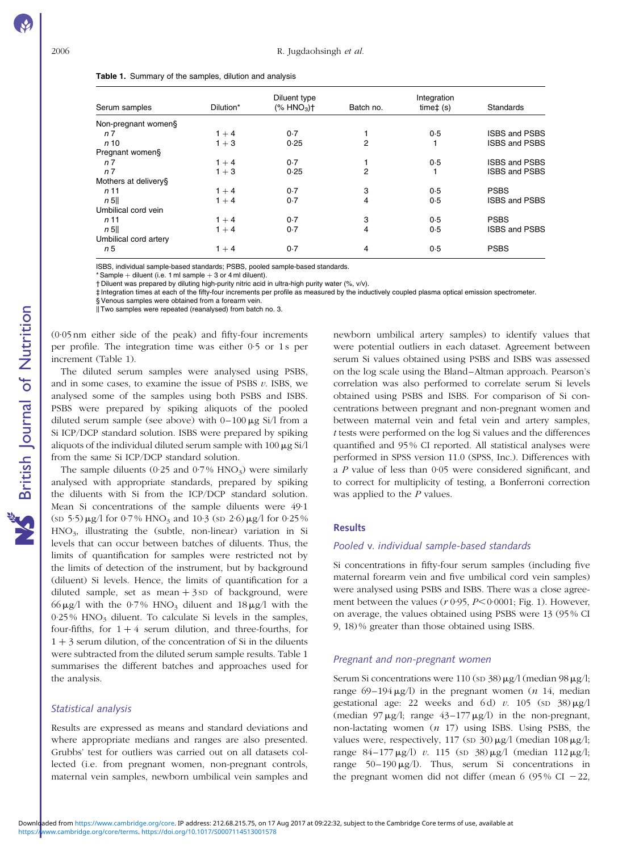<span id="page-2-0"></span>

| Table 1. Summary of the samples, dilution and analysis |  |  |  |
|--------------------------------------------------------|--|--|--|
|--------------------------------------------------------|--|--|--|

| Serum samples         | Dilution* | Diluent type<br>$(% )^{2}($ HNO <sub>3</sub> ) <sup>+</sup> | Batch no. | Integration<br>$time+$ (s) | Standards            |
|-----------------------|-----------|-------------------------------------------------------------|-----------|----------------------------|----------------------|
|                       |           |                                                             |           |                            |                      |
| n 7                   | $1 + 4$   | 0.7                                                         |           | 0.5                        | <b>ISBS and PSBS</b> |
| n <sub>10</sub>       | $1 + 3$   | 0.25                                                        | 2         |                            | <b>ISBS and PSBS</b> |
| Pregnant women§       |           |                                                             |           |                            |                      |
| n 7                   | $1 + 4$   | 0.7                                                         |           | 0.5                        | <b>ISBS and PSBS</b> |
| n 7                   | $1 + 3$   | 0.25                                                        | 2         |                            | <b>ISBS and PSBS</b> |
| Mothers at delivery§  |           |                                                             |           |                            |                      |
| n <sub>11</sub>       | $1 + 4$   | 0.7                                                         | 3         | 0.5                        | <b>PSBS</b>          |
| n 5                   | $1 + 4$   | 0.7                                                         | 4         | 0.5                        | <b>ISBS and PSBS</b> |
| Umbilical cord vein   |           |                                                             |           |                            |                      |
| n <sub>11</sub>       | $1 + 4$   | 0.7                                                         | 3         | 0.5                        | <b>PSBS</b>          |
| n 5                   | $1 + 4$   | 0.7                                                         | 4         | 0.5                        | <b>ISBS and PSBS</b> |
| Umbilical cord artery |           |                                                             |           |                            |                      |
| n 5                   | $1 + 4$   | 0.7                                                         | 4         | 0.5                        | <b>PSBS</b>          |

ISBS, individual sample-based standards; PSBS, pooled sample-based standards.

\* Sample  $+$  diluent (i.e. 1 ml sample  $+$  3 or 4 ml diluent).

† Diluent was prepared by diluting high-purity nitric acid in ultra-high purity water (%, v/v).

‡ Integration times at each of the fifty-four increments per profile as measured by the inductively coupled plasma optical emission spectrometer.

§ Venous samples were obtained from a forearm vein.

 $\parallel$  Two samples were repeated (reanalysed) from batch no. 3.

(0·05 nm either side of the peak) and fifty-four increments per profile. The integration time was either 0.5 or 1s per increment (Table 1).

The diluted serum samples were analysed using PSBS, and in some cases, to examine the issue of PSBS  $v$ . ISBS, we analysed some of the samples using both PSBS and ISBS. PSBS were prepared by spiking aliquots of the pooled diluted serum sample (see above) with  $0-100 \mu g$  Si/l from a Si ICP/DCP standard solution. ISBS were prepared by spiking aliquots of the individual diluted serum sample with  $100 \mu$ g Si/l from the same Si ICP/DCP standard solution.

The sample diluents (0.25 and 0.7% HNO<sub>3</sub>) were similarly analysed with appropriate standards, prepared by spiking the diluents with Si from the ICP/DCP standard solution. Mean Si concentrations of the sample diluents were 49·1  $(\text{SD } 5.5) \mu\text{g}$ /l for 0.7% HNO<sub>3</sub> and 10.3 ( $\text{SD } 2.6$ )  $\mu\text{g}$ /l for 0.25% HNO3, illustrating the (subtle, non-linear) variation in Si levels that can occur between batches of diluents. Thus, the limits of quantification for samples were restricted not by the limits of detection of the instrument, but by background (diluent) Si levels. Hence, the limits of quantification for a diluted sample, set as mean  $+3$  sp of background, were 66  $\mu$ g/l with the 0.7% HNO<sub>3</sub> diluent and 18  $\mu$ g/l with the  $0.25\%$  HNO<sub>3</sub> diluent. To calculate Si levels in the samples, four-fifths, for  $1 + 4$  serum dilution, and three-fourths, for  $1 + 3$  serum dilution, of the concentration of Si in the diluents were subtracted from the diluted serum sample results. Table 1 summarises the different batches and approaches used for the analysis.

### Statistical analysis

Results are expressed as means and standard deviations and where appropriate medians and ranges are also presented. Grubbs' test for outliers was carried out on all datasets collected (i.e. from pregnant women, non-pregnant controls, maternal vein samples, newborn umbilical vein samples and

newborn umbilical artery samples) to identify values that were potential outliers in each dataset. Agreement between serum Si values obtained using PSBS and ISBS was assessed on the log scale using the Bland–Altman approach. Pearson's correlation was also performed to correlate serum Si levels obtained using PSBS and ISBS. For comparison of Si concentrations between pregnant and non-pregnant women and between maternal vein and fetal vein and artery samples, t tests were performed on the log Si values and the differences quantified and 95 % CI reported. All statistical analyses were performed in SPSS version 11.0 (SPSS, Inc.). Differences with a P value of less than 0·05 were considered significant, and to correct for multiplicity of testing, a Bonferroni correction was applied to the  $P$  values.

#### **Results**

#### Pooled v. individual sample-based standards

Si concentrations in fifty-four serum samples (including five maternal forearm vein and five umbilical cord vein samples) were analysed using PSBS and ISBS. There was a close agreement between the values ( $r \cdot 0.95$ ,  $P \leq 0.0001$ ; [Fig. 1\)](#page-3-0). However, on average, the values obtained using PSBS were 13 (95 % CI 9, 18) % greater than those obtained using ISBS.

#### Pregnant and non-pregnant women

Serum Si concentrations were 110 (sp  $38$ )  $\mu$ g/l (median 98  $\mu$ g/l; range 69–194  $\mu$ g/l) in the pregnant women (*n* 14, median gestational age: 22 weeks and 6d) v. 105 (sp  $38 \mu g/l$ (median  $97 \mu g/l$ ; range  $43-177 \mu g/l$ ) in the non-pregnant, non-lactating women  $(n \t17)$  using ISBS. Using PSBS, the values were, respectively, 117 (sp  $30 \mu g/l$  (median  $108 \mu g/l$ ; range  $84-177 \mu g/l$ ) v. 115 (sp 38)  $\mu g/l$  (median 112  $\mu g/l$ ; range  $50-190 \mu g/l$ ). Thus, serum Si concentrations in the pregnant women did not differ (mean 6 (95% CI  $-22$ ,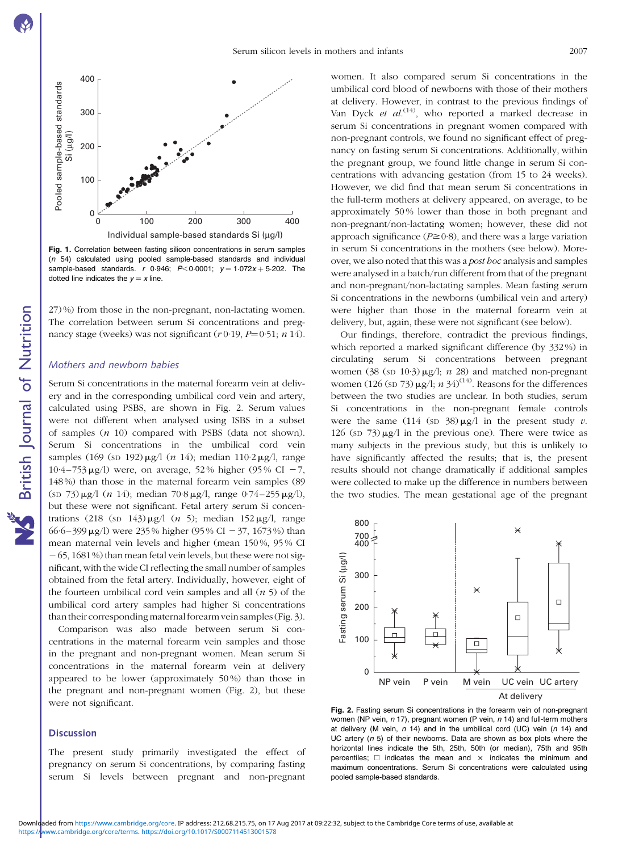British Journal of Nutrition

NS British Journal of Nutrition

<span id="page-3-0"></span>

Fig. 1. Correlation between fasting silicon concentrations in serum samples (n 54) calculated using pooled sample-based standards and individual sample-based standards. r 0.946;  $P < 0.0001$ ;  $y = 1.072x + 5.202$ . The dotted line indicates the  $y = x$  line.

27) %) from those in the non-pregnant, non-lactating women. The correlation between serum Si concentrations and pregnancy stage (weeks) was not significant  $(r 0.19, P=0.51; n 14)$ .

### Mothers and newborn babies

Serum Si concentrations in the maternal forearm vein at delivery and in the corresponding umbilical cord vein and artery, calculated using PSBS, are shown in Fig. 2. Serum values were not different when analysed using ISBS in a subset of samples  $(n 10)$  compared with PSBS (data not shown). Serum Si concentrations in the umbilical cord vein samples (169 (sp 192) $\mu$ g/l (n 14); median 110·2 $\mu$ g/l, range 10·4–753  $\mu$ g/l) were, on average, 52% higher (95% CI -7, 148 %) than those in the maternal forearm vein samples (89  $(\text{SD } 73) \mu\text{g} / 1$  (n 14); median 70·8  $\mu\text{g} / 1$ , range 0·74-255  $\mu\text{g} / 1$ ), but these were not significant. Fetal artery serum Si concentrations (218 (SD 143) $\mu$ g/l (n 5); median 152 $\mu$ g/l, range 66·6–399 µg/l) were 235% higher (95% CI - 37, 1673%) than mean maternal vein levels and higher (mean 150 %, 95 % CI  $-65$ , 1681 %) than mean fetal vein levels, but these were not significant, with the wide CI reflecting the small number of samples obtained from the fetal artery. Individually, however, eight of the fourteen umbilical cord vein samples and all  $(n 5)$  of the umbilical cord artery samples had higher Si concentrations than their corresponding maternal forearm vein samples (Fig. 3).

Comparison was also made between serum Si concentrations in the maternal forearm vein samples and those in the pregnant and non-pregnant women. Mean serum Si concentrations in the maternal forearm vein at delivery appeared to be lower (approximately 50 %) than those in the pregnant and non-pregnant women (Fig. 2), but these were not significant.

The present study primarily investigated the effect of pregnancy on serum Si concentrations, by comparing fasting serum Si levels between pregnant and non-pregnant

women. It also compared serum Si concentrations in the umbilical cord blood of newborns with those of their mothers at delivery. However, in contrast to the previous findings of Van Dyck et  $al^{(14)}$ , who reported a marked decrease in serum Si concentrations in pregnant women compared with non-pregnant controls, we found no significant effect of pregnancy on fasting serum Si concentrations. Additionally, within the pregnant group, we found little change in serum Si concentrations with advancing gestation (from 15 to 24 weeks). However, we did find that mean serum Si concentrations in the full-term mothers at delivery appeared, on average, to be approximately 50 % lower than those in both pregnant and non-pregnant/non-lactating women; however, these did not approach significance ( $P \ge 0.8$ ), and there was a large variation in serum Si concentrations in the mothers (see below). Moreover, we also noted that this was a post hoc analysis and samples were analysed in a batch/run different from that of the pregnant and non-pregnant/non-lactating samples. Mean fasting serum Si concentrations in the newborns (umbilical vein and artery) were higher than those in the maternal forearm vein at delivery, but, again, these were not significant (see below).

Our findings, therefore, contradict the previous findings, which reported a marked significant difference (by 332 %) in circulating serum Si concentrations between pregnant women (38 (sp 10·3)  $\mu$ g/l; *n* 28) and matched non-pregnant women (126 (sp 73)  $\mu$ g/l; n 34)<sup>(14)</sup>. Reasons for the differences between the two studies are unclear. In both studies, serum Si concentrations in the non-pregnant female controls were the same (114 (sp  $38 \mu g/l$  in the present study v. 126 (sp  $73)$   $\mu$ g/l in the previous one). There were twice as many subjects in the previous study, but this is unlikely to have significantly affected the results; that is, the present results should not change dramatically if additional samples were collected to make up the difference in numbers between the two studies. The mean gestational age of the pregnant



Fig. 2. Fasting serum Si concentrations in the forearm vein of non-pregnant women (NP vein,  $n$  17), pregnant women (P vein,  $n$  14) and full-term mothers at delivery (M vein,  $n$  14) and in the umbilical cord (UC) vein  $(n$  14) and UC artery  $(n 5)$  of their newborns. Data are shown as box plots where the horizontal lines indicate the 5th, 25th, 50th (or median), 75th and 95th percentiles:  $\Box$  indicates the mean and  $\times$  indicates the minimum and maximum concentrations. Serum Si concentrations were calculated using pooled sample-based standards.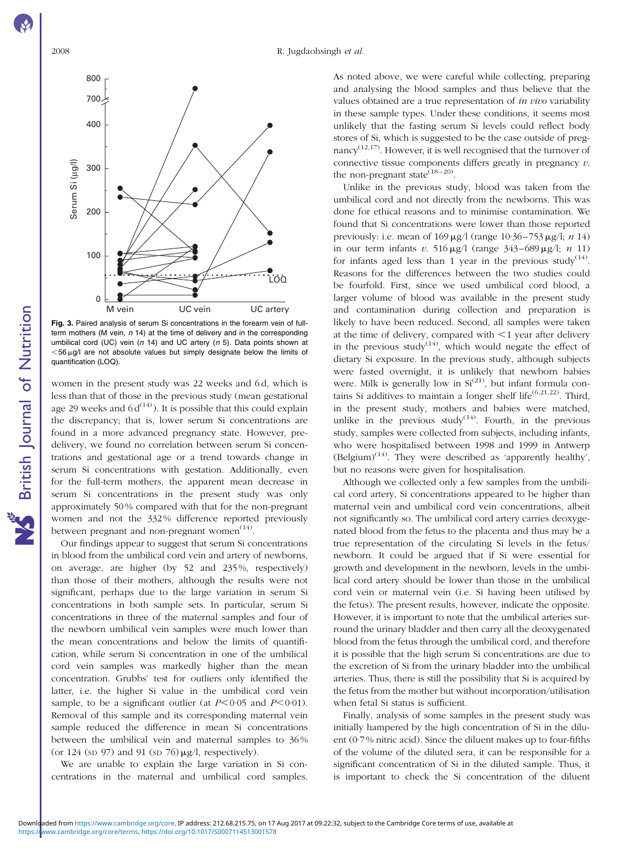<span id="page-4-0"></span>

Fig. 3. Paired analysis of serum Si concentrations in the forearm vein of fullterm mothers (M vein,  $n$  14) at the time of delivery and in the corresponding umbilical cord (UC) vein ( $n$  14) and UC artery ( $n$  5). Data points shown at  $<$  56  $\mu$ g/l are not absolute values but simply designate below the limits of quantification (LOQ).

women in the present study was 22 weeks and 6 d, which is less than that of those in the previous study (mean gestational age 29 weeks and  $6 d^{(14)}$ ). It is possible that this could explain the discrepancy; that is, lower serum Si concentrations are found in a more advanced pregnancy state. However, predelivery, we found no correlation between serum Si concentrations and gestational age or a trend towards change in serum Si concentrations with gestation. Additionally, even for the full-term mothers, the apparent mean decrease in serum Si concentrations in the present study was only approximately 50 % compared with that for the non-pregnant women and not the 332 % difference reported previously between pregnant and non-pregnant women $(14)$ .

Our findings appear to suggest that serum Si concentrations in blood from the umbilical cord vein and artery of newborns, on average, are higher (by 52 and 235 %, respectively) than those of their mothers, although the results were not significant, perhaps due to the large variation in serum Si concentrations in both sample sets. In particular, serum Si concentrations in three of the maternal samples and four of the newborn umbilical vein samples were much lower than the mean concentrations and below the limits of quantification, while serum Si concentration in one of the umbilical cord vein samples was markedly higher than the mean concentration. Grubbs' test for outliers only identified the latter, i.e. the higher Si value in the umbilical cord vein sample, to be a significant outlier (at  $P<0.05$  and  $P<0.01$ ). Removal of this sample and its corresponding maternal vein sample reduced the difference in mean Si concentrations between the umbilical vein and maternal samples to 36 % (or  $124$  (sp  $97$ ) and  $91$  (sp  $76$ )  $\mu$ g/l, respectively).

We are unable to explain the large variation in Si concentrations in the maternal and umbilical cord samples.

As noted above, we were careful while collecting, preparing and analysing the blood samples and thus believe that the values obtained are a true representation of in vivo variability in these sample types. Under these conditions, it seems most unlikely that the fasting serum Si levels could reflect body stores of Si, which is suggested to be the case outside of pregnancy<sup> $(12,17)$ </sup>. However, it is well recognised that the turnover of connective tissue components differs greatly in pregnancy  $v$ . the non-pregnant state  $(18-20)$ .

Unlike in the previous study, blood was taken from the umbilical cord and not directly from the newborns. This was done for ethical reasons and to minimise contamination. We found that Si concentrations were lower than those reported previously: i.e. mean of  $169 \,\mu g/l$  (range  $10.36 - 753 \,\mu g/l$ ; n  $14$ ) in our term infants v. 516  $\mu$ g/l (range 343–689  $\mu$ g/l; n 11) for infants aged less than 1 year in the previous study<sup>(14)</sup>. Reasons for the differences between the two studies could be fourfold. First, since we used umbilical cord blood, a larger volume of blood was available in the present study and contamination during collection and preparation is likely to have been reduced. Second, all samples were taken at the time of delivery, compared with  $\leq 1$  year after delivery in the previous study<sup> $(14)$ </sup>, which would negate the effect of dietary Si exposure. In the previous study, although subjects were fasted overnight, it is unlikely that newborn babies were. Milk is generally low in  $Si^{(21)}$ , but infant formula contains Si additives to maintain a longer shelf life<sup> $(6,21,22)$ </sup>. Third, in the present study, mothers and babies were matched, unlike in the previous study $(14)$ . Fourth, in the previous study, samples were collected from subjects, including infants, who were hospitalised between 1998 and 1999 in Antwerp (Belgium)<sup>(14)</sup>. They were described as 'apparently healthy', but no reasons were given for hospitalisation.

Although we collected only a few samples from the umbilical cord artery, Si concentrations appeared to be higher than maternal vein and umbilical cord vein concentrations, albeit not significantly so. The umbilical cord artery carries deoxygenated blood from the fetus to the placenta and thus may be a true representation of the circulating Si levels in the fetus/ newborn. It could be argued that if Si were essential for growth and development in the newborn, levels in the umbilical cord artery should be lower than those in the umbilical cord vein or maternal vein (i.e. Si having been utilised by the fetus). The present results, however, indicate the opposite. However, it is important to note that the umbilical arteries surround the urinary bladder and then carry all the deoxygenated blood from the fetus through the umbilical cord, and therefore it is possible that the high serum Si concentrations are due to the excretion of Si from the urinary bladder into the umbilical arteries. Thus, there is still the possibility that Si is acquired by the fetus from the mother but without incorporation/utilisation when fetal Si status is sufficient.

Finally, analysis of some samples in the present study was initially hampered by the high concentration of Si in the diluent (0·7 % nitric acid). Since the diluent makes up to four-fifths of the volume of the diluted sera, it can be responsible for a significant concentration of Si in the diluted sample. Thus, it is important to check the Si concentration of the diluent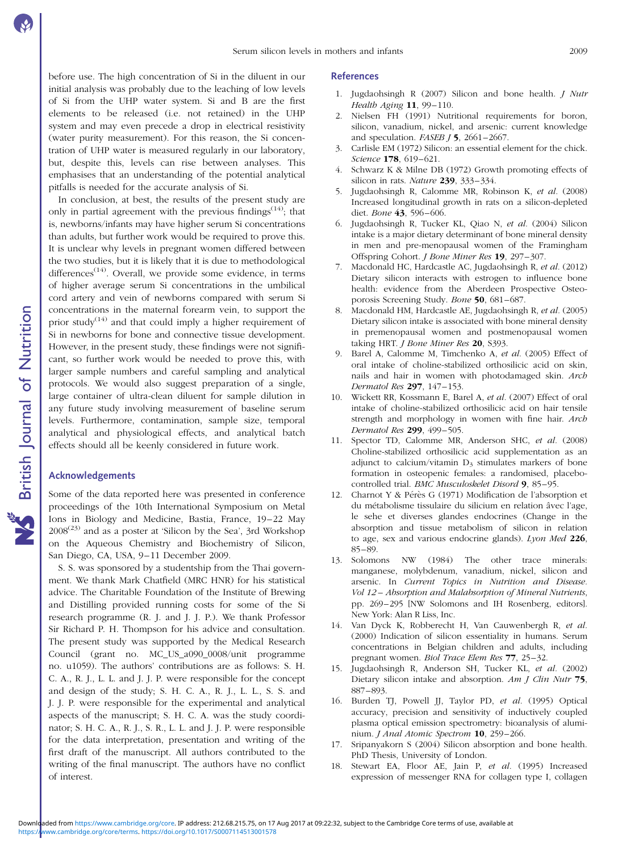before use. The high concentration of Si in the diluent in our initial analysis was probably due to the leaching of low levels of Si from the UHP water system. Si and B are the first elements to be released (i.e. not retained) in the UHP system and may even precede a drop in electrical resistivity (water purity measurement). For this reason, the Si concentration of UHP water is measured regularly in our laboratory, but, despite this, levels can rise between analyses. This emphasises that an understanding of the potential analytical pitfalls is needed for the accurate analysis of Si.

In conclusion, at best, the results of the present study are only in partial agreement with the previous findings<sup> $(14)$ </sup>; that is, newborns/infants may have higher serum Si concentrations than adults, but further work would be required to prove this. It is unclear why levels in pregnant women differed between the two studies, but it is likely that it is due to methodological differences $(14)$ . Overall, we provide some evidence, in terms of higher average serum Si concentrations in the umbilical cord artery and vein of newborns compared with serum Si concentrations in the maternal forearm vein, to support the prior study<sup>(14)</sup> and that could imply a higher requirement of Si in newborns for bone and connective tissue development. However, in the present study, these findings were not significant, so further work would be needed to prove this, with larger sample numbers and careful sampling and analytical protocols. We would also suggest preparation of a single, large container of ultra-clean diluent for sample dilution in any future study involving measurement of baseline serum levels. Furthermore, contamination, sample size, temporal analytical and physiological effects, and analytical batch effects should all be keenly considered in future work.

#### Acknowledgements

Some of the data reported here was presented in conference proceedings of the 10th International Symposium on Metal Ions in Biology and Medicine, Bastia, France, 19–22 May  $2008^{(23)}$  and as a poster at 'Silicon by the Sea', 3rd Workshop on the Aqueous Chemistry and Biochemistry of Silicon, San Diego, CA, USA, 9–11 December 2009.

S. S. was sponsored by a studentship from the Thai government. We thank Mark Chatfield (MRC HNR) for his statistical advice. The Charitable Foundation of the Institute of Brewing and Distilling provided running costs for some of the Si research programme (R. J. and J. J. P.). We thank Professor Sir Richard P. H. Thompson for his advice and consultation. The present study was supported by the Medical Research Council (grant no. MC\_US\_a090\_0008/unit programme no. u1059). The authors' contributions are as follows: S. H. C. A., R. J., L. L. and J. J. P. were responsible for the concept and design of the study; S. H. C. A., R. J., L. L., S. S. and J. J. P. were responsible for the experimental and analytical aspects of the manuscript; S. H. C. A. was the study coordinator; S. H. C. A., R. J., S. R., L. L. and J. J. P. were responsible for the data interpretation, presentation and writing of the first draft of the manuscript. All authors contributed to the writing of the final manuscript. The authors have no conflict of interest.

#### References

- 1. Jugdaohsingh R (2007) Silicon and bone health. J Nutr Health Aging 11, 99-110.
- 2. Nielsen FH (1991) Nutritional requirements for boron, silicon, vanadium, nickel, and arsenic: current knowledge and speculation. FASEB  $J$  5, 2661-2667.
- 3. Carlisle EM (1972) Silicon: an essential element for the chick. Science **178**, 619-621.
- 4. Schwarz K & Milne DB (1972) Growth promoting effects of silicon in rats. Nature 239, 333-334.
- 5. Jugdaohsingh R, Calomme MR, Robinson K, et al. (2008) Increased longitudinal growth in rats on a silicon-depleted diet. Bone 43, 596–606.
- 6. Jugdaohsingh R, Tucker KL, Qiao N, et al. (2004) Silicon intake is a major dietary determinant of bone mineral density in men and pre-menopausal women of the Framingham Offspring Cohort. J Bone Miner Res 19, 297–307.
- 7. Macdonald HC, Hardcastle AC, Jugdaohsingh R, et al. (2012) Dietary silicon interacts with estrogen to influence bone health: evidence from the Aberdeen Prospective Osteoporosis Screening Study. Bone 50, 681–687.
- 8. Macdonald HM, Hardcastle AE, Jugdaohsingh R, et al. (2005) Dietary silicon intake is associated with bone mineral density in premenopausal women and postmenopausal women taking HRT. *J Bone Miner Res* 20, S393.
- 9. Barel A, Calomme M, Timchenko A, et al. (2005) Effect of oral intake of choline-stabilized orthosilicic acid on skin, nails and hair in women with photodamaged skin. Arch Dermatol Res 297, 147–153.
- 10. Wickett RR, Kossmann E, Barel A, et al. (2007) Effect of oral intake of choline-stabilized orthosilicic acid on hair tensile strength and morphology in women with fine hair. Arch Dermatol Res 299, 499–505.
- 11. Spector TD, Calomme MR, Anderson SHC, et al. (2008) Choline-stabilized orthosilicic acid supplementation as an adjunct to calcium/vitamin  $D_3$  stimulates markers of bone formation in osteopenic females: a randomised, placebocontrolled trial. BMC Musculoskelet Disord 9, 85–95.
- 12. Charnot Y & Pérès G (1971) Modification de l'absorption et du métabolisme tissulaire du silicium en relation âvec l'age, le sehe et diverses glandes endocrines (Change in the absorption and tissue metabolism of silicon in relation to age, sex and various endocrine glands). Lyon Med  $226$ , 85–89.
- 13. Solomons NW (1984) The other trace minerals: manganese, molybdenum, vanadium, nickel, silicon and arsenic. In Current Topics in Nutrition and Disease. Vol 12 – Absorption and Malabsorption of Mineral Nutrients, pp. 269–295 [NW Solomons and IH Rosenberg, editors]. New York: Alan R Liss, Inc.
- 14. Van Dyck K, Robberecht H, Van Cauwenbergh R, et al. (2000) Indication of silicon essentiality in humans. Serum concentrations in Belgian children and adults, including pregnant women. Biol Trace Elem Res 77, 25–32.
- 15. Jugdaohsingh R, Anderson SH, Tucker KL, et al. (2002) Dietary silicon intake and absorption. Am J Clin Nutr 75, 887–893.
- 16. Burden TJ, Powell JJ, Taylor PD, et al. (1995) Optical accuracy, precision and sensitivity of inductively coupled plasma optical emission spectrometry: bioanalysis of aluminium. J Anal Atomic Spectrom 10, 259-266.
- 17. Sripanyakorn S (2004) Silicon absorption and bone health. PhD Thesis, University of London.
- 18. Stewart EA, Floor AE, Jain P, et al. (1995) Increased expression of messenger RNA for collagen type I, collagen